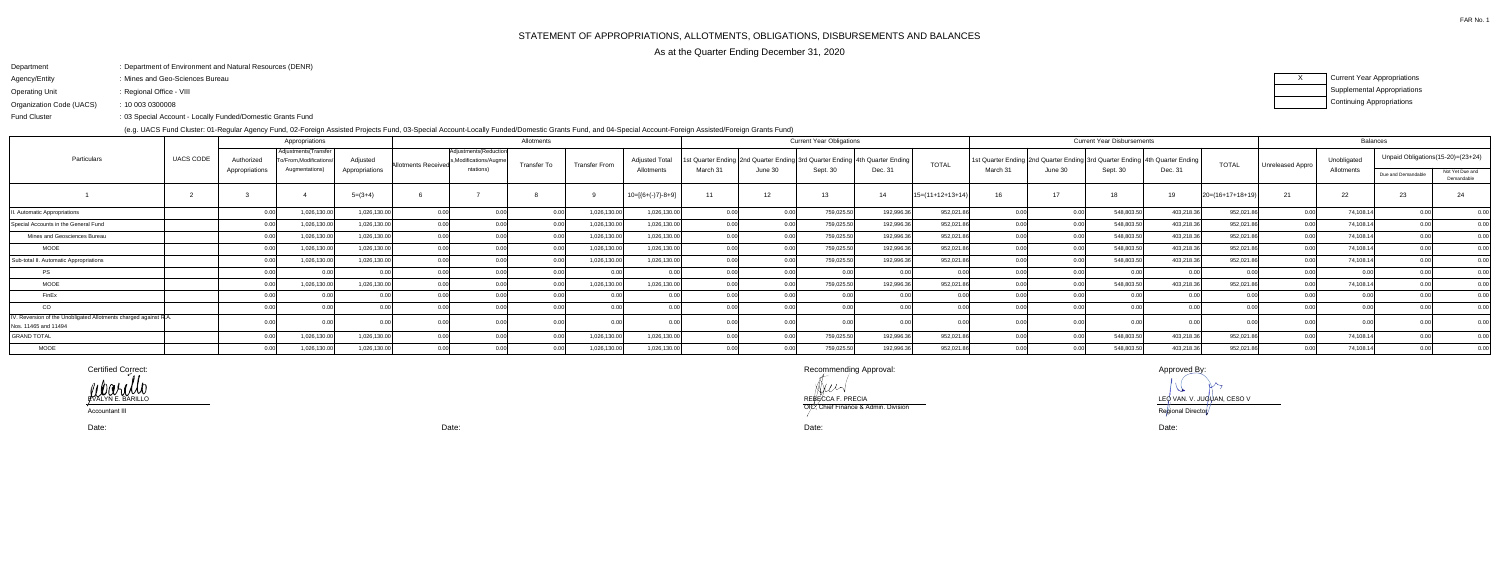## Department: Department of Environment and Natural Resources (DENR)

- Agency/Entity: Mines and Geo-Sciences Bureau
- Operating Unit: Regional Office - VIII

FAR No. 1

 03 Special Account - Locally Funded/Domestic Grants Fund:Fund Cluster

Organization Code (UACS)10 003 0300008:

(e.g. UACS Fund Cluster: 01-Regular Agency Fund, 02-Foreign Assisted Projects Fund, 03-Special Account-Locally Funded/Domestic Grants Fund, and 04-Special Account-Foreign Assisted/Foreign Grants Fund)

XCurrent Year Appropriations Supplemental AppropriationsContinuing Appropriations

| 5                                 |                 |
|-----------------------------------|-----------------|
| Unpaid Obligations(15-20)=(23+24) |                 |
| ue and Demandable                 | Not Yet Due and |
|                                   | Demandable      |
| 23                                | 24              |
| 0.00                              | 0.00            |
| 0.00                              | 0.00            |
| 0.00                              | 0.00            |
| 0.00                              | 0.00            |
| 0.00                              | 0.00            |
| 0.00                              | 0.00            |
| 0.00                              | 0.00            |
| 0.00                              | 0.00            |
| 0.00                              | 0.00            |
| 0.00                              | 0.00            |
| 0.00                              | 0.00            |
| 0.00                              | 0.00            |

|                                                                                      |                |            | Appropriations                                |                |                                                                               | Allotments  |                      |                       |          |                   | <b>Current Year Obligations</b>                                                 |            |                    |          |                                                                             | <b>Current Year Disbursements</b> | Balances   |                    |                         |             |                                   |                               |
|--------------------------------------------------------------------------------------|----------------|------------|-----------------------------------------------|----------------|-------------------------------------------------------------------------------|-------------|----------------------|-----------------------|----------|-------------------|---------------------------------------------------------------------------------|------------|--------------------|----------|-----------------------------------------------------------------------------|-----------------------------------|------------|--------------------|-------------------------|-------------|-----------------------------------|-------------------------------|
| UACS CODE<br>Particulars                                                             |                | Authorized | Adjustments (Transfer<br>o/From.Modifications | Adjusted       | Adjustments (Reduction<br>s.Modifications/Augme<br><b>Allotments Received</b> | Transfer To | <b>Transfer From</b> | <b>Adjusted Total</b> |          |                   | t Quarter Ending   2nd Quarter Ending   3rd Quarter Ending   4th Quarter Ending |            | <b>TOTAL</b>       |          | 1st Quarter Ending 2nd Quarter Ending 3rd Quarter Ending 4th Quarter Ending |                                   |            | <b>TOTAL</b>       | <b>Unreleased Appro</b> | Unobligated | Unpaid Obligations(15-20)=(23+24) |                               |
|                                                                                      | Appropriations |            | Augmentations)                                | Appropriations | ntations)                                                                     |             |                      | Allotments            | March 31 | June 30           | Sept. 30                                                                        | Dec. 31    |                    | March 31 | June 30                                                                     | Sept. 30                          | Dec. 31    |                    |                         | Allotments  | Due and Demandable                | Not Yet Due and<br>Demandable |
|                                                                                      |                |            |                                               | $5=(3+4)$      |                                                                               |             |                      | $10=[6+(-)7]-8+9]$    | 11       | $12 \overline{ }$ | 13                                                                              | 14         | $15=(11+12+13+14)$ | 16       | 17                                                                          | 18                                |            | $20=(16+17+18+19)$ | 21                      | 22          | 23                                | 24                            |
| Automatic Appropriations                                                             |                |            | 1,026,130.00                                  | 1,026,130.00   |                                                                               |             | 1,026,130.00         | 1,026,130.00          |          |                   | 759,025.5                                                                       | 192,996.36 | 952,021.86         |          |                                                                             | 548,803.5                         | 403,218.36 | 952,021.8          |                         | 74,108.14   |                                   | 0.00                          |
| Special Accounts in the General Fund                                                 |                |            | 1,026,130.00                                  | 1,026,130.00   |                                                                               |             | 1,026,130.00         | 1,026,130.00          |          | ሰ ሰበ              | 759,025.5                                                                       | 192,996.36 | 952,021.86         |          |                                                                             | 548,803.5                         | 403,218.36 | 952,021.8          |                         | 74,108.14   |                                   | 0.00                          |
| Mines and Geosciences Bureau                                                         |                |            | 1,026,130.00                                  | 1,026,130.00   |                                                                               |             | 1,026,130.00         | 1,026,130.00          |          |                   | 759,025.5                                                                       | 192,996.36 | 952,021.86         |          |                                                                             | 548,803.5                         | 403,218.36 | 952,021.8          |                         | 74,108.14   |                                   | 0.00                          |
| <b>MOOE</b>                                                                          |                |            | 1,026,130.00                                  | 1,026,130.00   |                                                                               |             | 1,026,130.00         | 1,026,130.00          |          |                   | 759,025.5                                                                       | 192,996.36 | 952,021.86         |          |                                                                             | 548,803.5                         | 403,218.36 | 952,021.8          |                         | 74,108.14   |                                   | 0.00                          |
| Sub-total II. Automatic Appropriations                                               |                |            | 1,026,130.00                                  | 1,026,130.00   |                                                                               |             | 1,026,130.00         | 1,026,130.00          |          |                   | 759,025.5                                                                       | 192,996.36 | 952,021.86         |          |                                                                             | 548,803.5                         | 403,218.36 | 952,021.8          |                         | 74,108.14   |                                   | 0.00                          |
| PS                                                                                   |                |            |                                               |                |                                                                               |             | 0.00                 |                       |          |                   |                                                                                 |            |                    |          |                                                                             |                                   |            |                    |                         |             |                                   | 0.00                          |
| MOOE                                                                                 |                |            | 1,026,130.00                                  | 1,026,130.00   |                                                                               |             | 1,026,130.00         | 1,026,130.00          |          | 0.00              | 759,025.5                                                                       | 192,996.36 | 952,021.86         |          |                                                                             | 548,803.5                         | 403,218.36 | 952,021.8          |                         | 74,108.14   |                                   | 0.00                          |
| FinEx                                                                                |                |            |                                               |                |                                                                               |             | 0.00                 |                       |          |                   |                                                                                 |            |                    |          |                                                                             |                                   |            |                    |                         |             |                                   | 0 <sub>0</sub>                |
| CO                                                                                   |                |            |                                               |                |                                                                               |             |                      |                       |          |                   |                                                                                 |            |                    |          |                                                                             |                                   |            |                    |                         |             |                                   | 0.00                          |
| . Reversion of the Unobligated Allotments charged against R.A.<br>s. 11465 and 11494 |                |            |                                               |                |                                                                               |             |                      |                       |          |                   |                                                                                 |            |                    |          |                                                                             |                                   |            |                    |                         |             |                                   |                               |
| <b>GRAND TOTAL</b>                                                                   |                |            | 1,026,130.00                                  | 1,026,130.00   |                                                                               |             | 1,026,130.00         | 1,026,130.00          |          |                   | 759,025.5                                                                       | 192,996.36 | 952,021.8          |          |                                                                             | 548,803.5                         | 403,218.36 | 952,021.8          |                         | 74,108.14   |                                   | 0.00                          |
| <b>MOOE</b>                                                                          |                |            | 1,026,130.00                                  | 1,026,130.00   |                                                                               |             | 1,026,130.00         | 1,026,130.00          |          |                   | 759,025.5                                                                       | 192,996.36 | 952,021.86         |          |                                                                             | 548,803.5                         | 403,218.36 | 952,021.8          |                         | 74,108.14   | 0.00                              | 0.00                          |

Certified Correct:

Recommending Approval: Approved By:

Anus REBECCA F. PRECIA LEO VAN. V. JUGUAN, CESO V<br>OU CHARLES CONTRACTOR DE LA CHARLES CONTRACTOR DE LA CONTRACTOR DE LA CONTRACTOR DE LA CONTRACTOR DE LA CONTRA OIC, Chief Finance & Admin. Division Regional Directo

 $\mathcal{U}$ Regional Director

Date:

Date:

Date: Date:

EVALYN E. BARILLO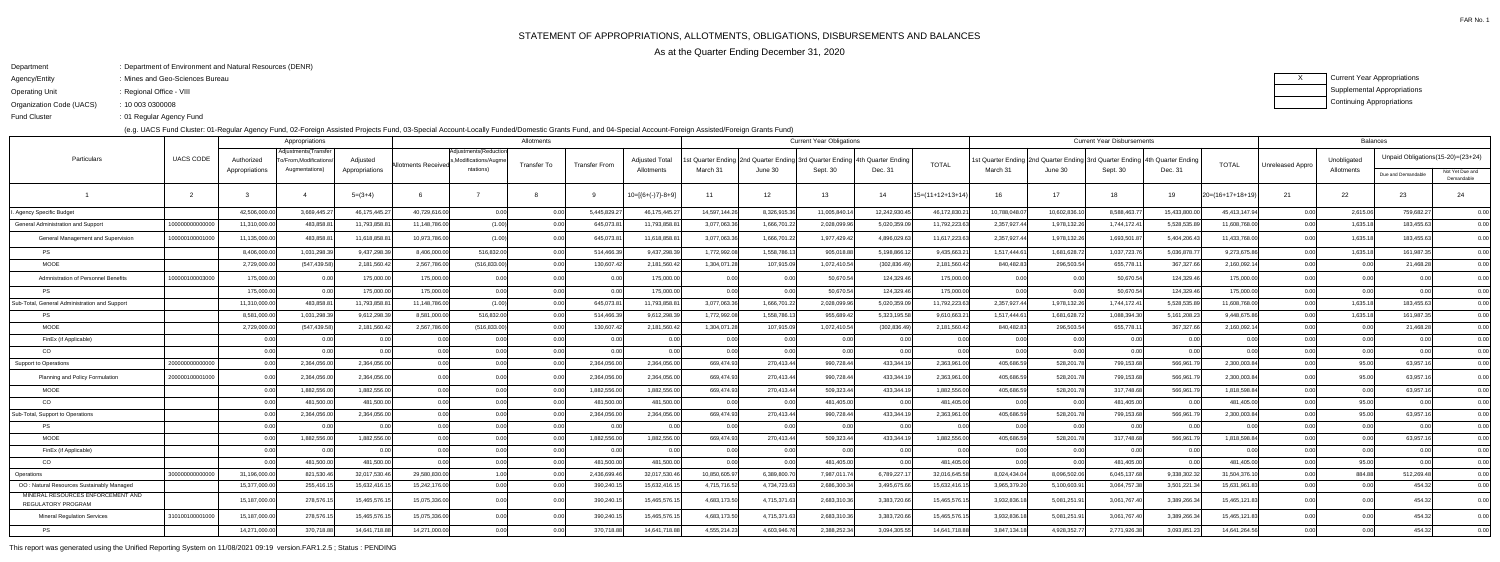- Agency/Entity: Mines and Geo-Sciences Bureau
- Operating Unit : Regional Office - VIII

FAR No. 1

ending the U.S. of Regular Agency Fund Fund Cluster

XCurrent Year Appropriations Supplemental AppropriationsContinuing Appropriations

| : Department of Environment and Natural Resources (DENR) |
|----------------------------------------------------------|
|                                                          |

Organization Code (UACS)10 003 0300008:

(e.g. UACS Fund Cluster: 01-Regular Agency Fund, 02-Foreign Assisted Projects Fund, 03-Special Account-Locally Funded/Domestic Grants Fund, and 04-Special Account-Foreign Assisted/Foreign Grants Fund)

| Appropriations                                          |                  |                |                                              |                 |                   |                                                 | Allotments  |                      |                       | <b>Current Year Obligations</b> |                                                            |              |                    |                  | <b>Current Year Disbursements</b>                                          |              |              |              |                 |                  | Balances       |                                      |                               |  |  |
|---------------------------------------------------------|------------------|----------------|----------------------------------------------|-----------------|-------------------|-------------------------------------------------|-------------|----------------------|-----------------------|---------------------------------|------------------------------------------------------------|--------------|--------------------|------------------|----------------------------------------------------------------------------|--------------|--------------|--------------|-----------------|------------------|----------------|--------------------------------------|-------------------------------|--|--|
| Particulars                                             | <b>UACS CODE</b> | Authorized     | Adjustments(Transfer<br>o/From.Modifications | Adjusted        | llotments Receive | Adjustments (Reduction<br>s.Modifications/Augme | Transfer To | <b>Transfer From</b> | <b>Adjusted Total</b> |                                 | t Quarter Ending   2nd Quarter Ending   3rd Quarter Ending |              | 4th Quarter Ending | <b>TOTAL</b>     | st Quarter Ending 2nd Quarter Ending 3rd Quarter Ending 4th Quarter Ending |              |              |              | <b>TOTAL</b>    | Unreleased Appro | Unobligated    | Unpaid Obligations (15-20) = (23+24) |                               |  |  |
|                                                         |                  | Appropriations | Augmentations)                               | Appropriations  |                   | ntations)                                       |             |                      | Allotments            | March 31                        | June 30                                                    | Sept. 30     | Dec. 31            |                  | March 31                                                                   | June 30      | Sept. 30     | Dec. 31      |                 |                  | Allotments     | Due and Demandable                   | Not Yet Due and<br>Demandable |  |  |
|                                                         | $\overline{2}$   |                |                                              | $5=(3+4)$       |                   |                                                 |             |                      | 10=[{6+(-)7}-8+9      | 11                              | 12                                                         | 13           | 14                 | 15=(11+12+13+14) | 16                                                                         | 17           | 18.          | 19           | 20=(16+17+18+19 | 21               | 22             | 23                                   | 24                            |  |  |
| Agency Specific Budget                                  |                  | 42,506,000.0   | 3,669,445.2                                  | 46, 175, 445.27 | 40,729,616.00     | 0.00                                            | 0.0         | 5,445,829.2          | 46, 175, 445. 27      | 14,597,144.26                   | 8,326,915.3                                                | 11,005,840.  | 12,242,930.4       | 46,172,830.2     | 10,788,048.0                                                               | 10,602,836.  | 8,588,463.7  | 15,433,800.0 | 45,413,147.94   | 0.00             | 2,615.06       | 759,682.27                           | 0.00                          |  |  |
| General Administration and Support                      | 1000000000000    | 11,310,000.00  | 483,858.81                                   | 11,793,858.81   | 11,148,786.00     | (1.00)                                          | 0 O         | 645,073.8            | 11,793,858.81         | 3,077,063.36                    | 1,666,701.2                                                | 2,028,099.96 | 5,020,359.0        | 11,792,223.63    | 2,357,927.44                                                               | 1,978,132.26 | 1,744,172.41 | 5,528,535.8  | 11,608,768.00   | 0.00             | 1,635.1        | 183,455.63                           | 0.00                          |  |  |
| General Management and Supervision                      | 100000100001000  | 11,135,000.00  | 483,858.8                                    | 11,618,858.8    | 10.973.786.0      | (1.00)                                          | - O O       | 645,073.8            | 11.618.858.81         | 3,077,063.36                    | 1.666.701.2                                                | 1,977,429.4  | 4.896.029.6        | 11,617,223.63    | 2,357,927.4                                                                | 1,978,132.2  | 1,693,501.87 | 5,404,206.4  | 11,433,768.00   | 0.00             | 1,635.1        | 183.455.63                           | 0.00                          |  |  |
| <b>PS</b>                                               |                  | 8,406,000.00   | 1,031,298.3                                  | 9,437,298.3     | 8,406,000.0       | 516,832.00                                      | 0.0         | 514,466.3            | 9,437,298.39          | 1,772,992.08                    | 1,558,786.1                                                | 905,018.8    | 5,198,866.1        | 9,435,663.2      | 1.517.444.6                                                                | 1,681,628.72 | 1,037,723.7  | 5,036,878.7  | 9,273,675.86    | 0.00             | 1,635.1        | 161,987.35                           | 0.00                          |  |  |
| <b>MOOE</b>                                             |                  | 2,729,000.0    | (547,439.58                                  | 2,181,560.42    | 2,567,786.0       | (516,833.00                                     | 0.0         | 130,607.42           | 2,181,560.42          | 1,304,071.28                    | 107,915.0                                                  | 1,072,410.5  | (302, 836.49)      | 2,181,560.42     | 840,482.83                                                                 | 296,503.5    | 655,778.1    | 367,327.6    | 2,160,092.1     | 0.00             | 0.0            | 21,468.28                            | 0.00                          |  |  |
| Admnistration of Personnel Benefits                     | 10000010000300   | 175,000.00     |                                              | 175,000.00      | 175,000.00        | 0.00                                            | 0.0         | 0.00                 | 175,000.00            | 0.00                            |                                                            | 50,670.5     | 124,329.4          | 175,000.00       |                                                                            |              | 50,670.54    | 124,329.4    | 175,000.00      | 0.00             | 0 <sub>0</sub> |                                      | 0.00                          |  |  |
| <b>PS</b>                                               |                  | 175,000.00     |                                              | 175,000.00      | 175,000.00        | 0.00                                            | 0.00        | 0.00                 | 175,000.00            | 0.00                            | 0 <sub>0</sub>                                             | 50,670.54    | 124,329.46         | 175,000.00       | 0.00                                                                       | n nr         | 50,670.54    | 124,329.4    | 175,000.00      | 0.00             | 0 <sub>0</sub> | 0.00 <sub>l</sub>                    | 0.00                          |  |  |
| Sub-Total, General Administration and Support           |                  | 11,310,000.0   | 483,858.8                                    | 11,793,858.8    | 11,148,786.0      | (1.00)                                          | 0.0         | 645,073.8            | 11,793,858.81         | 3,077,063.36                    | 1,666,701.2                                                | 2,028,099.9  | 5,020,359.0        | 11,792,223.63    | 2,357,927.4                                                                | 1,978,132.2  | 1,744,172.4  | 5,528,535.8  | 11,608,768.00   | 0.00             | 1,635.1        | 183,455.63                           | 0.00                          |  |  |
| <b>PS</b>                                               |                  | 8,581,000.0    | 1,031,298.3                                  | 9,612,298.3     | 8,581,000.0       | 516,832.00                                      | 0.0         | 514,466.3            | 9,612,298.3           | 1,772,992.08                    | 1,558,786.1                                                | 955,689.4    | 5,323,195.5        | 9,610,663.2      | 1,517,444.6                                                                | 1,681,628.7  | 1,088,394.3  | 5,161,208.2  | 9,448,675.86    | 0.00             | 1,635.1        | 161,987.3                            | 0.00                          |  |  |
| <b>MOOE</b>                                             |                  | 2,729,000.00   | (547,439.58                                  | 2,181,560.42    | 2,567,786.00      | (516, 833.00)                                   | 0.00        | 130,607.42           | 2,181,560.42          | 1,304,071.28                    | 107,915.09                                                 | 1,072,410.54 | (302, 836.49)      | 2,181,560.42     | 840,482.83                                                                 | 296,503.54   | 655,778.11   | 367,327.6    | 2,160,092.14    | 0.00             | 0.0(           | 21,468.28                            | 0.00                          |  |  |
| FinEx (if Applicable                                    |                  |                |                                              | 0.00            |                   | 0.00                                            | 0.00        | 0.00                 | 0.00                  | 0.00                            | 0 <sup>0<sup>c</sup></sup>                                 | 0.00         | 0.O                | 0.00             | 0.00                                                                       |              | 0.00         |              | 0.00            | 0.00             | 0 <sub>0</sub> | 0.00                                 | 0.00                          |  |  |
| CO                                                      |                  | 0.00           |                                              | 0.00            |                   | 0.00                                            | 0.00        |                      | 0.001                 | 0.00                            | 0 <sup>0<sup>c</sup></sup>                                 | 0.00         | 0 <sub>0</sub>     | 0.00             | 0.00                                                                       | _0.00        | 0.00         |              | 0.00            | 0.00             | 0.00           | 0.00                                 | 0.00                          |  |  |
| <b>Support to Operations</b>                            | 20000000000000   |                | 2,364,056.0                                  | 2,364,056.00    | 0.00              | 0.00                                            | 0.0         | 2,364,056.0          | 2,364,056.00          | 669,474.93                      | 270,413.44                                                 | 990,728.44   | 433,344.1          | 2,363,961.00     | 405,686.59                                                                 | 528,201.7    | 799,153.68   | 566,961.7    | 2,300,003.84    | 0.00             | 95.00          | 63,957.16                            | 0.00                          |  |  |
| Planning and Policy Formulation                         | 200000100001000  | 0. QQ          | 2.364.056.0                                  | 2.364.056.00    | 0.00              | 0.00                                            | 0.0         | 2.364.056.0          | 2.364.056.00          | 669.474.93                      | 270,413.4                                                  | 990,728.44   | 433,344.1          | 2.363.961.00     | 405.686.59                                                                 | 528,201.7    | 799.153.68   | 566.961.7    | 2.300.003.84    | 0.00             | 95.00          | 63,957.1                             | 0.00                          |  |  |
| <b>MOOE</b>                                             |                  |                | 1,882,556.0                                  | 1,882,556.00    | 0.00              | 0.00                                            | 0.00        | 1,882,556.0          | 1,882,556.00          | 669,474.93                      | 270,413.44                                                 | 509,323.4    | 433,344.1          | 1,882,556.00     | 405,686.5                                                                  | 528,201.7    | 317,748.68   | 566,961.7    | 1,818,598.84    | 0.00             | 0.0(           | 63,957.1                             | 0.00                          |  |  |
| CO                                                      |                  |                | 481,500.0                                    | 481,500.00      |                   | 0.00                                            |             | 481,500.0            | 481,500.00            | 0.00                            | 0 <sub>0</sub>                                             | 481,405.00   |                    | 481,405.00       |                                                                            |              | 481,405.00   |              | 481,405.00      | 0.00             | 95.00          | 0.00                                 | 0.00                          |  |  |
| Sub-Total, Support to Operations                        |                  |                | 2,364,056.00                                 | 2,364,056.00    | 0.00              | 0.00                                            | 0.00        | 2,364,056.0          | 2,364,056.00          | 669,474.93                      | 270,413.44                                                 | 990,728.44   | 433,344.1          | 2,363,961.00     | 405,686.59                                                                 | 528,201.7    | 799,153.68   | 566,961.7    | 2,300,003.84    | 0.00             | 95.00          | 63,957.1                             | 0.00                          |  |  |
| <b>PS</b>                                               |                  | 0.00           |                                              | 0.00            | 0.00              | 0.00                                            | 0.00        | 0.00                 | 0.00                  | 0.00                            | 0 <sub>0</sub>                                             | 0.00         | 0 <sub>0</sub>     | 0.00             | 0.00                                                                       | 0 O          | 0.00         | 0.00         | 0.00            | 0.00             | 0.00           | 0.00                                 | 0.00                          |  |  |
| <b>MOOE</b>                                             |                  |                | 1,882,556.0                                  | 1,882,556.00    | 0.00              | 0.00                                            | 0.0         | 1,882,556.00         | 1,882,556.00          | 669,474.93                      | 270,413.44                                                 | 509,323.44   | 433,344.1          | 1,882,556.00     | 405,686.59                                                                 | 528,201.7    | 317,748.68   | 566,961.7    | 1,818,598.84    | 0.00             | 0 <sub>0</sub> | 63,957.1                             | 0.00                          |  |  |
| FinEx (if Applicable)                                   |                  | 0.00           | n nr                                         | 0.00            | 0.00              | 0.00                                            | 0.00        | 0.00                 | 0.00                  | 0.00                            | 0.00                                                       | 0.00         | 0.00               | 0.00             | 0.00                                                                       | 0.00         | 0.00         | 0.00         | 0.00            | 0.00             | 0.00           | 0.00                                 | 0.00                          |  |  |
| CO                                                      |                  |                | 481,500.0                                    | 481,500.00      |                   | 0.00                                            | 0 O         | 481,500.0            | 481,500.00            | 0.00                            | 0 <sub>0</sub>                                             | 481,405.00   |                    | 481,405.00       | 0.00                                                                       |              | 481,405.00   |              | 481,405.00      | 0.00             | 95.00          |                                      | 0.00                          |  |  |
| Operations                                              | 30000000000000   | 31,196,000.00  | 821,530.46                                   | 32,017,530.46   | 29,580,830.00     | 1.00l                                           | 0.00        | 2,436,699.4          | 32,017,530.46         | 10,850,605.97                   | 6,389,800.7                                                | 7,987,011.74 | 6,789,227.1        | 32,016,645.58    | 8,024,434.04                                                               | 8,096,502.0  | 6,045,137.68 | 9,338,302.3  | 31,504,376.10   | 0.00             | 884.88         | 512,269.48                           | 0.00                          |  |  |
| OO: Natural Resources Sustainably Managed               |                  | 15,377,000.00  | 255,416.1                                    | 15,632,416.15   | 15,242,176.00     | 0.00                                            | 0.0         | 390,240.1            | 15,632,416.15         | 4,715,716.52                    | 4,734,723.6                                                | 2,686,300.3  | 3,495,675.6        | 15,632,416.15    | 3,965,379.20                                                               | 5,100,603.9  | 3,064,757.38 | 3,501,221.3  | 15,631,961.83   | 0.00             | 0.0(           | 454.32                               | 0.00                          |  |  |
| MINERAL RESOURCES ENFORCEMENT AND<br>REGULATORY PROGRAM |                  | 15,187,000.00  | 278,576.1                                    | 15,465,576.1    | 15,075,336.0      | 0.00                                            |             | 390,240.             | 15,465,576.1          | 4,683,173.50                    | 4,715,371.6                                                | 2,683,310.36 | 3,383,720.6        | 15,465,576.1     | 3,932,836.1                                                                | 5,081,251.9  | 3,061,767.4  | 3,389,266.3  | 15,465,121.83   | 0.00             |                | 454.32                               | 0.00                          |  |  |
| <b>Mineral Regulation Services</b>                      | 310100100001000  | 15,187,000.00  | 278,576.15                                   | 15,465,576.1    | 15,075,336.00     | 0.00                                            | - O O       | 390,240.1            | 15,465,576.15         | 4,683,173.50                    | 4,715,371.6                                                | 2,683,310.36 | 3,383,720.6        | 15,465,576.1     | 3,932,836.1                                                                | 5,081,251.9  | 3,061,767.40 | 3,389,266.3  | 15,465,121.83   | 0.00             |                | 454.32                               | 0.00                          |  |  |
| <b>PS</b>                                               |                  | 14,271,000.00  | 370.718.88                                   | 14,641,718.88   | 14.271.000.00     | 0.00                                            |             | 370.718.8            | 14.641.718.88         | 4,555,214.23                    | 4.603.946.7                                                | 2,388,252.3  | 3.094.305.5        | 14.641.718.88    | 3.847.134.1                                                                | 4.928.352.7  | 2,771,926.38 | 3.093.851.2  | 14,641,264.56   | 0.00             |                | 454.32                               |                               |  |  |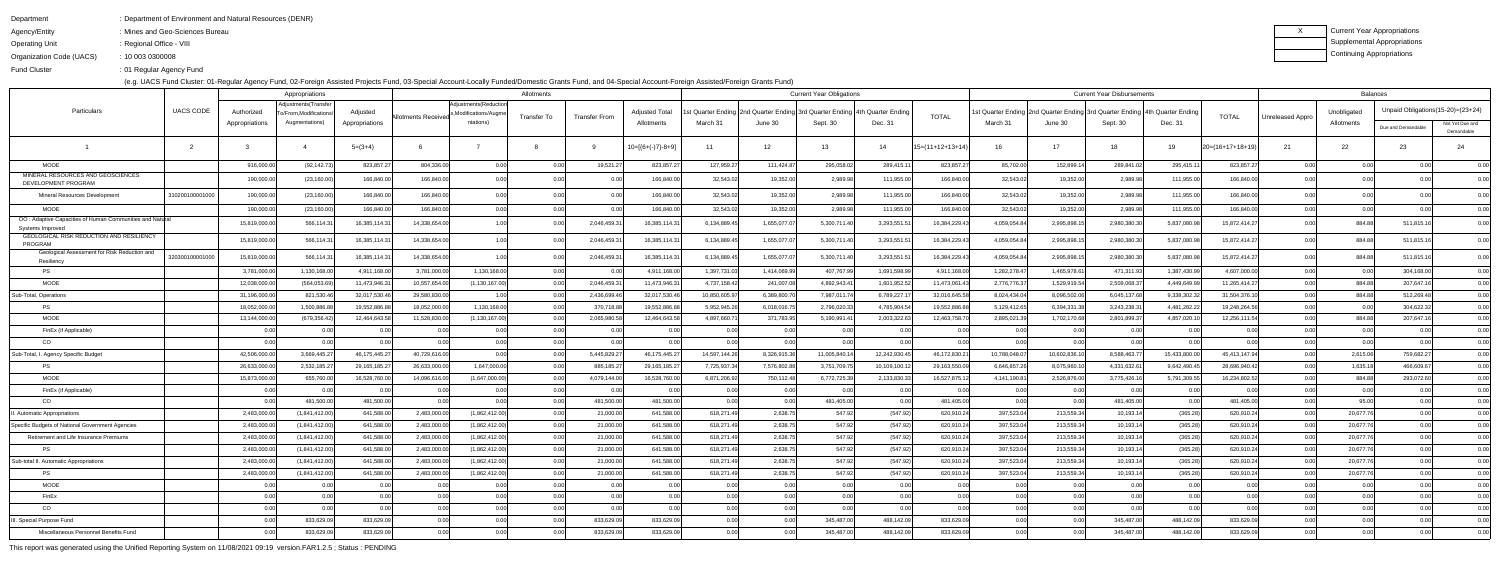Department

- : Department of Environment and Natural Resources (DENR)
- Agency/Entity: Mines and Geo-Sciences Bureau
- Operating Unit : Regional Office - VIII

ending the U.S. of Regular Agency Fund Fund Cluster

Organization Code (UACS)10 003 0300008:

(e.g. UACS Fund Cluster: 01-Regular Agency Fund, 02-Foreign Assisted Projects Fund, 03-Special Account-Locally Funded/Domestic Grants Fund, and 04-Special Account-Foreign Assisted/Foreign Grants Fund)

| Current Year Appropriations |
|-----------------------------|
| Supplemental Appropriations |
| Continuing Appropriations   |

|                                                                              |                  |                              | Appropriations                          |                            | Allotments                 |                                   |                    |                      |                                     | <b>Current Year Obligations</b> |              |              |                                                                                              |                    | <b>Current Year Disbursements</b> |                                                                                        |              |                |                    |                  | <b>Balances</b>           |                                      |                               |  |  |
|------------------------------------------------------------------------------|------------------|------------------------------|-----------------------------------------|----------------------------|----------------------------|-----------------------------------|--------------------|----------------------|-------------------------------------|---------------------------------|--------------|--------------|----------------------------------------------------------------------------------------------|--------------------|-----------------------------------|----------------------------------------------------------------------------------------|--------------|----------------|--------------------|------------------|---------------------------|--------------------------------------|-------------------------------|--|--|
| Particulars                                                                  | <b>UACS CODE</b> |                              | Adjustments(Transfer                    |                            |                            | Adjustments (Reduction            |                    |                      |                                     |                                 |              |              |                                                                                              |                    |                                   |                                                                                        |              |                |                    |                  |                           | Unpaid Obligations (15-20) = (23+24) |                               |  |  |
|                                                                              |                  | Authorized<br>Appropriations | >/From,Modifications/<br>Augmentations) | Adjusted<br>Appropriations | Allotments Received        | ,Modifications/Augme<br>ntations) | <b>Transfer To</b> | <b>Transfer From</b> | <b>Adjusted Total</b><br>Allotments | March 31                        | June 30      | Sept. 30     | : Quarter Ending   2nd Quarter Ending   3rd Quarter Ending   4th Quarter Ending  <br>Dec. 31 | <b>TOTAL</b>       | March 31                          | Ist Quarter Ending 2nd Quarter Ending 3rd Quarter Ending 4th Quarter Ending<br>June 30 | Sept. 30     | Dec. 31        | <b>TOTAL</b>       | Unreleased Appro | Unobligated<br>Allotments |                                      |                               |  |  |
|                                                                              |                  |                              |                                         |                            |                            |                                   |                    |                      |                                     |                                 |              |              |                                                                                              |                    |                                   |                                                                                        |              |                |                    |                  |                           | Due and Demandable                   | Not Yet Due and<br>Demandable |  |  |
|                                                                              |                  |                              |                                         | $5=(3+4)$                  |                            |                                   |                    |                      | $10=[{6+(-)}7-8+9]$                 | 11                              | 12           | 13           | 14                                                                                           | $15=(11+12+13+14)$ | 16                                | 17                                                                                     | 18           | 19             | $20=(16+17+18+19)$ | 21               | 22                        | 23                                   | 24                            |  |  |
| <b>MOOE</b>                                                                  |                  | 916,000.0                    | (92, 142.73)                            | 823,857.27                 | 804,336.0                  | 0.00                              | 0.00               | 19,521.27            | 823,857.27                          | 127,959.27                      | 111,424.87   | 295,058.02   | 289,415.1                                                                                    | 823,857.27         | 85,702.00                         | 152,899.14                                                                             | 289,841.02   | 295,415.1      | 823,857.27         | 0.00             | 0.00                      | 0.00                                 | 0.00                          |  |  |
| MINERAL RESOURCES AND GEOSCIENCES<br>DEVELOPMENT PROGRAM                     |                  | 190,000.0                    | (23, 160.00)                            | 166,840.00                 | 166,840.0                  | 0.00                              |                    | 0.00                 | 166,840.00                          | 32,543.02                       | 19,352.00    | 2,989.98     | 111,955.00                                                                                   | 166,840.00         | 32,543.02                         | 19,352.00                                                                              | 2,989.98     | 111,955.0      | 166,840.00         |                  | 0.00                      |                                      |                               |  |  |
| Mineral Resources Development                                                | 31020010000100   | 190,000.0                    | (23, 160.00)                            | 166,840.00                 | 166,840.0                  | 0.00                              |                    | 0.00                 | 166,840.00                          | 32,543.02                       | 19,352.00    | 2,989.98     | 111,955.0                                                                                    | 166,840.0          | 32,543.0                          | 19,352.0                                                                               | 2,989.98     | 111,955.0      | 166,840.00         |                  | 0.O                       |                                      | 0.00                          |  |  |
| MOOE                                                                         |                  | 190,000.0                    | (23, 160.00)                            | 166,840.00                 | 166,840.0                  | 0.00                              | 0.00               | 0.00                 | 166,840.00                          | 32,543.02                       | 19,352.00    | 2,989.98     | 111,955.00                                                                                   | 166,840.00         | 32,543.02                         | 19,352.00                                                                              | 2,989.98     | 111,955.0      | 166,840.00         | 0.00             | 0.00                      | 0.00                                 | 0.00                          |  |  |
| OO: Adaptive Capacities of Human Communities and Natural<br>Systems Improved |                  | 15,819,000.0                 | 566,114.3                               | 16,385,114.31              | 14,338,654.0               |                                   |                    | 2,046,459.3          | 16,385,114.3                        | 6,134,889.45                    | 1,655,077.07 | 5,300,711.40 | 3,293,551.                                                                                   | 16,384,229.43      | 4,059,054.8                       | 2,995,898.1                                                                            | 2,980,380.30 | 5,837,080.9    | 15,872,414.27      |                  | 884.88                    | 511,815.16                           | 0.00                          |  |  |
| GEOLOGICAL RISK REDUCTION AND RESILIENCY<br>PROGRAM                          |                  | 15,819,000.0                 | 566,114.31                              | 16,385,114.31              | 14,338,654.0               | 1.00l                             |                    | 2,046,459.3          | 16,385,114.31                       | 6,134,889.45                    | 1,655,077.07 | 5,300,711.40 | 3,293,551.5                                                                                  | 16,384,229.43      | 4,059,054.8                       | 2,995,898.1                                                                            | 2,980,380.30 | 5,837,080.9    | 15,872,414.27      | 0.00             | 884.88                    | 511,815.16                           | 0.00                          |  |  |
| Geological Assessment for Risk Reduction and<br>Resiliency                   | 320300100001000  | 15,819,000.0                 | 566,114.31                              | 16,385,114.31              | 14,338,654.0               | 1.00                              |                    | 2,046,459.3          | 16,385,114.31                       | 6,134,889.45                    | 1,655,077.07 | 5,300,711.40 | 3,293,551.                                                                                   | 16,384,229.43      | 4,059,054.8                       | 2,995,898.1                                                                            | 2,980,380.30 | 5,837,080.9    | 15,872,414.27      | 0.00             | 884.88                    | 511,815.16                           | 0.00                          |  |  |
| PS                                                                           |                  | 3,781,000.0                  | 1,130,168.00                            | 4,911,168.00               | 3,781,000.0                | 1,130,168.00                      | 0.00               | 0.00                 | 4,911,168.00                        | 1,397,731.03                    | 1,414,069.99 | 407,767.99   | 1,691,598.99                                                                                 | 4,911,168.00       | 1,282,278.4                       | 1,465,978.61                                                                           | 471,311.93   | 1,387,430.9    | 4,607,000.00       | 0.00             | 0.00                      | 304,168.00                           | 0.00                          |  |  |
| <b>MOOE</b>                                                                  |                  | 12,038,000.0                 | (564, 053.69)                           | 11,473,946.31              | 10,557,654.0               | (1, 130, 167.00)                  |                    | 2,046,459.3          | 11,473,946.3                        | 4,737,158.42                    | 241,007.08   | 4,892,943.4  | 1,601,952.52                                                                                 | 11,473,061.43      | 2,776,776.3                       | 1,529,919.54                                                                           | 2,509,068.37 | 4,449,649.9    | 11,265,414.27      |                  | 884.88                    | 207,647.16                           | 0.00                          |  |  |
| Sub-Total, Operations                                                        |                  | 31,196,000.0                 | 821,530.46                              | 32,017,530.46              | 29,580,830.0               | 1.00l                             | 0.00               | 2,436,699.46         | 32,017,530.46                       | 10,850,605.97                   | 6,389,800.70 | 7,987,011.74 | 6,789,227.1                                                                                  | 32,016,645.5       | 8,024,434.0                       | 8,096,502.06                                                                           | 6,045,137.68 | 9,338,302.3    | 31,504,376.10      | 0.00             | 884.88                    | 512,269.48                           | 0.00                          |  |  |
| PS                                                                           |                  | 18,052,000.0                 | 1,500,886.8                             | 19,552,886.88              | 18,052,000.0               | 1,130,168.00                      |                    | 370,718.88           | 19,552,886.8                        | 5,952,945.26                    | 6,018,016.75 | 2,796,020.3  | 4,785,904.54                                                                                 | 19,552,886.8       | 5,129,412.6                       | 6,394,331.3                                                                            | 3,243,238.3  | 4,481,282.2    | 19,248,264.5       | 0.00             | 0.00                      | 304,622.32                           | 0.00                          |  |  |
| MOOE                                                                         |                  | 13,144,000.0                 | (679, 356.42)                           | 12,464,643.58              | 11,528,830.0               | (1, 130, 167.00)                  |                    | 2,065,980.58         | 12,464,643.58                       | 4,897,660.71                    | 371,783.95   | 5,190,991.4  | 2,003,322.63                                                                                 | 12,463,758.7       | 2,895,021.3                       | 1,702,170.68                                                                           | 2,801,899.37 | 4,857,020.1    | 12,256,111.54      | 0.00             | 884.88                    | 207,647.16                           | 0.00                          |  |  |
| FinEx (if Applicable)                                                        |                  |                              | 0.001                                   |                            |                            | 0.00                              | 0.00               | 0.00                 | 0.00                                | 0.00                            | 0.00         | 0.00         | 0.00                                                                                         |                    |                                   | 0.001                                                                                  |              |                | 0.001              | 0.00             | 0.00                      | 0.00                                 | 0.00                          |  |  |
| CO                                                                           |                  |                              | 0.00                                    | 0.00                       |                            | 0.001                             |                    | 0.00                 | 0.00                                | 0.00                            | n ool        | 0.00         | 0.00                                                                                         | 0 <sup>0</sup>     |                                   | 0.00                                                                                   | 0.00         |                |                    | 0.00             | 0.00                      | 0.00                                 | 0.00                          |  |  |
| Sub-Total, I. Agency Specific Budget                                         |                  | 42,506,000.0                 | 3,669,445.27                            | 46, 175, 445. 27           | 40,729,616.00              | _0.00l                            | 0.0(               | 5,445,829.27         | 46, 175, 445. 27                    | 14,597,144.26                   | 8,326,915.36 | 11,005,840.1 | 12,242,930.45                                                                                | 46,172,830.21      | 10,788,048.0                      | 10,602,836.10                                                                          | 8,588,463.77 | 15,433,800.0   | 45,413,147.94      | 0.00             | 2,615.06                  | 759,682.27                           | 0.00                          |  |  |
| PS                                                                           |                  | 26,633,000.0                 | 2,532,185.2                             | 29, 165, 185. 2            | 26,633,000.0               | 1,647,000.00                      |                    | 885,185.2            | 29, 165, 185. 2                     | 7,725,937.34                    | 7,576,802.8  | 3,751,709.7  | 10,109,100.1                                                                                 | 29,163,550.0       | 6,646,857.2                       | 8,075,960.1                                                                            | 4,331,632.61 | 9,642,490.4    | 28,696,940.4       | 0.00             | 1,635.18                  | 466,609.67                           | 0.00                          |  |  |
| MOOE                                                                         |                  | 15,873,000.0                 | 655,760.00                              | 16,528,760.00              | 14,096,616.0               | (1,647,000.00)                    | 0.00               | 4,079,144.00         | 16,528,760.00                       | 6,871,206.92                    | 750,112.48   | 6,772,725.39 | 2,133,830.33                                                                                 | 16,527,875.1       | 4,141,190.8                       | 2,526,876.00                                                                           | 3,775,426.16 | 5,791,309.5    | 16,234,802.52      | 0.00             | 884.88                    | 293,072.60                           | 0.00                          |  |  |
| FinEx (if Applicable)                                                        |                  |                              | 0.001                                   | 0.00                       |                            | 0.001                             | 0.0(               | 0.00                 | 0.00                                | 0.00                            | 0.00         | 0.00         | 0.00                                                                                         | 0.00               |                                   | 0.001                                                                                  |              | - 0.O          | 0.001              | 0.00             | 0.00                      | 0.00                                 | 0.00                          |  |  |
| CO                                                                           |                  |                              | 481,500.00                              | 481,500.00                 |                            | 0.00                              |                    | 481,500.00           | 481,500.00                          | 0.00                            | 0.00         | 481,405.00   | 0.00                                                                                         | 481,405.00         |                                   |                                                                                        | 481,405.00   |                | 481,405.00         | 0.00             | 95.00                     |                                      | 0.00                          |  |  |
| . Automatic Appropriations                                                   |                  | 2,483,000.0                  | (1,841,412.00)                          | 641,588.00                 | 2,483,000.0                | (1,862,412.00)                    | 0.0(               | 21,000.00            | 641,588.00                          | 618,271.49                      | 2,638.75     | 547.92       | (547.92)                                                                                     | 620,910.24         | 397,523.04                        | 213,559.34                                                                             | 10,193.14    | (365.28)       | 620,910.24         | 0.00             | 20,677.76                 | 0.001                                | 0.00                          |  |  |
| Specific Budgets of National Government Agencies                             |                  | 2,483,000.0                  | (1,841,412.00)                          | 641,588.00                 | 2,483,000.0                | (1,862,412.00)                    |                    | 21,000.00            | 641,588.00                          | 618,271.49                      | 2,638.75     | 547.92       | (547.92)                                                                                     | 620,910.24         | 397,523.0                         | 213,559.34                                                                             | 10,193.14    | (365.28)       | 620,910.24         |                  | 20,677.76                 | 0.00                                 | 0.00                          |  |  |
| Retirement and Life Insurance Premiums                                       |                  | 2,483,000.0                  | (1,841,412.00)                          | 641,588.00                 | 2,483,000.0                | (1,862,412.00)                    |                    | 21,000.00            | 641,588.00                          | 618,271.49                      | 2,638.75     | 547.92       | (547.92)                                                                                     | 620,910.24         | 397,523.0                         | 213,559.34                                                                             | 10,193.14    | (365.28)       | 620,910.24         |                  | 20,677.76                 | 0.00                                 | 0.00                          |  |  |
| PS                                                                           |                  | 2,483,000.00                 | (1,841,412.00)                          | 641,588.00                 | 2,483,000.00               | (1,862,412.00)                    | 0.00               | 21,000.00            | 641,588.00                          | 618,271.49                      | 2,638.75     | 547.92       | (547.92)                                                                                     | 620,910.24         | 397,523.04                        | 213,559.34                                                                             | 10,193.14    | (365.28)       | 620,910.24         | 0.00             | 20,677.76                 | 0.00                                 | 0.00                          |  |  |
| Sub-total II. Automatic Appropriations                                       |                  | 2,483,000.0                  | (1,841,412.00)                          | 641,588.00                 | 2,483,000.00               | (1,862,412.00)                    | 0.00               | 21,000.00            | 641,588.00                          | 618,271.49                      | 2,638.75     | 547.92       | (547.92)                                                                                     | 620,910.24         | 397,523.04                        | 213,559.34                                                                             | 10,193.14    | (365.28)       | 620,910.24         | 0.00             | 20,677.76                 | 0.00                                 | 0.00                          |  |  |
| PS.                                                                          |                  | 2,483,000.0                  | (1,841,412.00)                          | 641,588.00                 | 2,483,000.00               | (1,862,412.00)                    | 0.00               | 21,000.00            | 641,588.00                          | 618,271.49                      | 2,638.75     | 547.92       | (547.92)                                                                                     | 620,910.24         | 397,523.04                        | 213,559.34                                                                             | 10,193.14    | (365.28)       | 620,910.24         | 0.00             | 20,677.76                 | 0.00                                 | 0.00                          |  |  |
| <b>MOOE</b>                                                                  |                  |                              | 0.00                                    | 0.00                       | 0.0                        | 0.00                              | 0.00               | 0.00                 | 0.00                                | 0.00                            | 0.00         | 0.00         | 0.00                                                                                         | 0.00               |                                   | 0.00                                                                                   | 0.00         | 0.00           | 0.00               | 0.00             | 0.00                      | 0.00                                 | 0.00                          |  |  |
| FinEx                                                                        |                  |                              | 0.001                                   | 0.00                       |                            | 0.001                             |                    | 0.00                 | 0.00                                | 0.00                            | 0.00         | 0.00         | 0.00                                                                                         | 0.00               |                                   | 0.001                                                                                  | 0.00         | 0 <sub>0</sub> | 0.001              |                  | 0.00                      | 0.00                                 | 0.00                          |  |  |
| CO                                                                           |                  | 0.00                         | 0.00                                    | 0.00                       | 0 <sup>0<sup>c</sup></sup> | 0.00                              | 0.00               | 0.00                 | 0.00                                | 0.00                            | 0.00         | 0.00         | 0.00                                                                                         | 0.00               |                                   | 0.00                                                                                   | 0.00         | 0.00           | 0.00               | 0.00             | 0.00                      | 0.00                                 | 0.00                          |  |  |
| I. Special Purpose Fund                                                      |                  |                              | 833,629.09                              | 833,629.09                 |                            | 0.00                              | 0.00               | 833,629.09           | 833,629.09                          | 0.00                            | 0.00         | 345,487.00   | 488,142.09                                                                                   | 833,629.09         |                                   | 0.001                                                                                  | 345,487.00   | 488,142.09     | 833,629.09         | 0.00             | 0.00                      | 0.00                                 | 0.00                          |  |  |
| Miscellaneous Personnel Benefits Fund                                        |                  |                              | 833,629.09                              | 833,629.09                 | 0.00                       | 0.00                              | 0.00               | 833,629.09           | 833,629.09                          | 0.00                            | 0.00         | 345,487.00   | 488,142.09                                                                                   | 833,629.09         |                                   | 0.00                                                                                   | 345,487.00   | 488,142.09     | 833,629.09         | 0.00             | 0.00                      | 0.00                                 | 0.00                          |  |  |
|                                                                              |                  |                              |                                         |                            |                            |                                   |                    |                      |                                     |                                 |              |              |                                                                                              |                    |                                   |                                                                                        |              |                |                    |                  |                           |                                      |                               |  |  |

This report was generated using the Unified Reporting System on 11/08/2021 09:19 version.FAR1.2.5 ; Status : PENDING